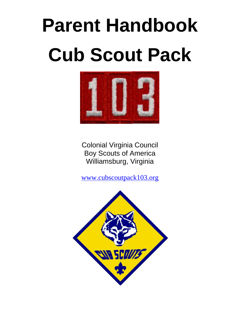# **Parent Handbook Cub Scout Pack**



Colonial Virginia Council Boy Scouts of America Williamsburg, Virginia

[www.cubscoutpack103.org](http://www.cubscoutpack103.org/)

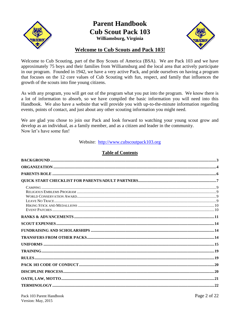

## **Parent Handbook Cub Scout Pack 103** Williamsburg, Virginia



### **Welcome to Cub Scouts and Pack 103!**

Welcome to Cub Scouting, part of the Boy Scouts of America (BSA). We are Pack 103 and we have approximately 75 boys and their families from Williamsburg and the local area that actively participate in our program. Founded in 1942, we have a very active Pack, and pride ourselves on having a program that focuses on the 12 core values of Cub Scouting with fun, respect, and family that influences the growth of the scouts into fine young citizens.

As with any program, you will get out of the program what you put into the program. We know there is a lot of information to absorb, so we have compiled the basic information you will need into this Handbook. We also have a website that will provide you with up-to-the-minute information regarding events, points of contact, and just about any other scouting information you might need.

We are glad you chose to join our Pack and look forward to watching your young scout grow and develop as an individual, as a family member, and as a citizen and leader in the community. Now let's have some fun!

Website: http://www.cubscoutpack103.org

#### **Table of Contents**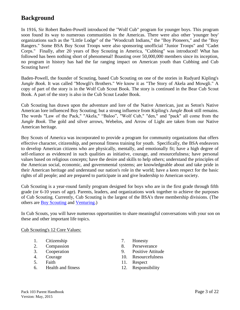## **Background**

In 1916, Sir Robert Baden-Powell introduced the "Wolf Cub" program for younger boys. This program soon found its way to numerous communities in the Americas. There were also other 'younger boy' organizations such as the "Little Lodge" of the "Woodcraft Indians," the "Boy Pioneers," and the "Boy Rangers." Some BSA Boy Scout Troops were also sponsoring unofficial "Junior Troops" and "Cadet Corps." Finally, after 20 years of Boy Scouting in America, "Cubbing" was introduced! What has followed has been nothing short of phenomenal! Boasting over 50,000,000 members since its inception, no program in history has had the far ranging impact on American youth than Cubbing and Cub Scouting have!

Baden-Powell, the founder of Scouting, based Cub Scouting on one of the stories in Rudyard Kipling's *Jungle Book*. It was called "Mowgli's Brothers." We know it as "The Story of Akela and Mowgli." A copy of part of the story is in the Wolf Cub Scout Book. The story is continued in the Bear Cub Scout Book. A part of the story is also in the Cub Scout Leader Book.

Cub Scouting has drawn upon the adventure and lore of the Native American, just as Seton's Native American lore influenced Boy Scouting; but a strong influence from Kipling's *Jungle Book* still remains. The words "Law of the Pack," "Akela," "Baloo", "Wolf Cub," "den," and "pack" all come from the *Jungle Book*. The gold and silver arrows, Webelos, and Arrow of Light are taken from our Native American heritage.

Boy Scouts of America was incorporated to provide a program for community organizations that offers effective character, citizenship, and personal fitness training for youth. Specifically, the BSA endeavors to develop American citizens who are physically, mentally, and emotionally fit; have a high degree of self-reliance as evidenced in such qualities as initiative, courage, and resourcefulness; have personal values based on religious concepts; have the desire and skills to help others; understand the principles of the American social, economic, and governmental systems; are knowledgeable about and take pride in their American heritage and understand our nation's role in the world; have a keen respect for the basic rights of all people; and are prepared to participate in and give leadership to American society.

Cub Scouting is a year-round family program designed for boys who are in the first grade through fifth grade (or 6-10 years of age). Parents, leaders, and organizations work together to achieve the purposes of Cub Scouting. Currently, Cub Scouting is the largest of the BSA's three membership divisions. (The others are [Boy Scouting](http://www.scouting.org/factsheets/02-503.html) and [Venturing.](http://www.scouting.org/factsheets/02-388.html))

In Cub Scouts, you will have numerous opportunities to share meaningful conversations with your son on these and other important life topics.

#### Cub Scouting's 12 Core Values:

- 1. Citizenship 7. Honesty
- 
- 
- 
- 
- 6. Health and fitness 12. Responsibility
- 
- 2. Compassion 8. Perseverance
- 3. Cooperation 9. Positive Attitude
- 4. Courage 10. Resourcefulness
- 5. Faith 11. Respect
	-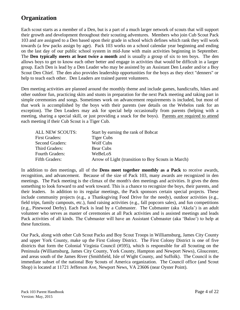## **Organization**

Each scout starts as a member of a Den, but is a part of a much larger network of scouts that will support their growth and development throughout their scouting adventures. Members who join Cub Scout Pack 103 and are assigned to a Den based upon their grade in school which defines which rank they will work towards (a few packs assign by age). Pack 103 works on a school calendar year beginning and ending on the last day of our public school system in mid-June with main activities beginning in September. The **Den typically meets at least twice a month** and is usually a group of six to ten boys. The den allows boys to get to know each other better and engage in activities that would be difficult in a larger group. Each Den is lead by a Den Leader who may be assisted by an Assistant Den Leader and/or a Boy Scout Den Chief. The den also provides leadership opportunities for the boys as they elect "denners" or help to teach each other. Den Leaders are trained parent volunteers.

Den meeting activities are planned around the monthly theme and include games, handicrafts, hikes and other outdoor fun, practicing skits and stunts in preparation for the next Pack meeting and taking part in simple ceremonies and songs. Sometimes work on advancement requirements is included, but most of that work is accomplished by the boys with their parents (see details on the Webelos rank for an exception). The Den Leaders may ask for special help occasionally from parents (helping with a meeting, sharing a special skill, or just providing a snack for the boys). Parents are required to attend each meeting if their Cub Scout is a Tiger Cub.

| ALL NEW SCOUTS:        | Start by earning the rank of Bobcat                |
|------------------------|----------------------------------------------------|
| <b>First Graders:</b>  | <b>Tiger Cubs</b>                                  |
| <b>Second Graders:</b> | Wolf Cubs                                          |
| <b>Third Graders:</b>  | Bear Cubs                                          |
| <b>Fourth Graders:</b> | WeBeLoS                                            |
| Fifth Graders:         | Arrow of Light (transition to Boy Scouts in March) |
|                        |                                                    |

In addition to den meetings, all of the **Dens meet together monthly as a Pack** to receive awards, recognition, and advancement. Because of the size of Pack 103, many awards are recognized in den meetings. The Pack meeting is the climax of the month's den meetings and activities. It gives the dens something to look forward to and work toward. This is a chance to recognize the boys, their parents, and their leaders. In addition to its regular meetings, the Pack sponsors certain special projects. These include community projects (e.g., a Thanksgiving Food Drive for the needy), outdoor activities (e.g., field trips, family campouts, etc.), fund raising activities (e.g., fall popcorn sales), and fun competitions (e.g., Pinewood Derby). Each Pack is lead by a Cubmaster. The Cubmaster (aka 'Akela') is an adult volunteer who serves as master of ceremonies at all Pack activities and is assisted meetings and leads Pack activities of all kinds. The Cubmaster will have an Assistant Cubmaster (aka 'Baloo') to help at these functions.

Our Pack, along with other Cub Scout Packs and Boy Scout Troops in Williamsburg, James City County and upper York County, make up the First Colony District. The First Colony District is one of five districts that form the Colonial Virginia Council (#595), which is responsible for all Scouting on the Peninsula (Williamsburg, James City County, York County, Hampton and Newport News), Gloucester, and areas south of the James River (Smithfield, Isle of Wight County, and Suffolk). The Council is the immediate subset of the national Boy Scouts of America organization. The Council office (and Scout Shop) is located at 11721 Jefferson Ave, Newport News, VA 23606 (near Oyster Point).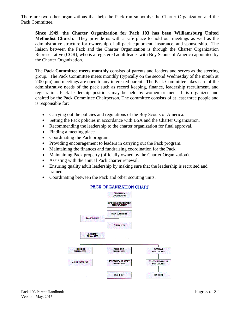There are two other organizations that help the Pack run smoothly: the Charter Organization and the Pack Committee.

**Since 1949, the Charter Organization for Pack 103 has been Williamsburg United Methodist Church**. They provide us with a safe place to hold our meetings as well as the administrative structure for ownership of all pack equipment, insurance, and sponsorship. The liaison between the Pack and the Charter Organization is through the Charter Organization Representative (COR), who is a registered adult leader with Boy Scouts of America appointed by the Charter Organization.

The **Pack Committee meets monthly** consists of parents and leaders and serves as the steering group. The Pack Committee meets monthly (typically on the second Wednesday of the month at 7:00 pm) and meetings are open to any interested parent. The Pack Committee takes care of the administrative needs of the pack such as record keeping, finance, leadership recruitment, and registration. Pack leadership positions may be held by women or men. It is organized and chaired by the Pack Committee Chairperson. The committee consists of at least three people and is responsible for:

- Carrying out the policies and regulations of the Boy Scouts of America.
- Setting the Pack policies in accordance with BSA and the Charter Organization.
- Recommending the leadership to the charter organization for final approval.
- Finding a meeting place.
- Coordinating the Pack program.
- Providing encouragement to leaders in carrying out the Pack program.
- Maintaining the finances and fundraising coordination for the Pack.
- Maintaining Pack property (officially owned by the Charter Organization).
- Assisting with the annual Pack charter renewal.
- Ensuring quality adult leadership by making sure that the leadership is recruited and trained.
- Coordinating between the Pack and other scouting units.



#### PACK ORGANIZATION CHART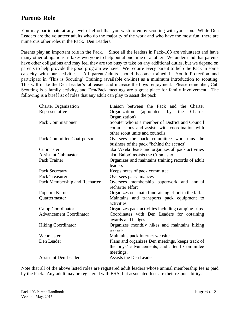## **Parents Role**

You may participate at any level of effort that you wish to enjoy scouting with your son. While Den Leaders are the volunteer adults who do the majority of the work and who have the most fun, there are numerous other roles in the Pack. Den Leaders.

Parents play an important role in the Pack. Since all the leaders in Pack-103 are volunteers and have many other obligations, it takes everyone to help out at one time or another. We understand that parents have other obligations and may feel they are too busy to take on any additional duties, but we depend on parents to help provide the good program we have. We require every parent to help the Pack in some capacity with our activities. All parents/adults should become trained in Youth Protection and participate in 'This is Scouting' Training (available on-line) as a minimum introduction to scouting. This will make the Den Leader's job easier and increase the boys' enjoyment. Please remember, Cub Scouting is a family activity, and Den/Pack meetings are a great place for family involvement. The following is a brief list of roles that any adult can play to assist the pack:

| <b>Charter Organization</b>       | Liaison between the Pack and the<br>Charter              |  |  |  |
|-----------------------------------|----------------------------------------------------------|--|--|--|
| Representative                    | (appointed by<br>Charter<br>Organization<br>the          |  |  |  |
|                                   | Organization)                                            |  |  |  |
| <b>Pack Commissioner</b>          | Scouter who is a member of District and Council          |  |  |  |
|                                   | commissions and assists with coordination with           |  |  |  |
|                                   | other scout units and councils                           |  |  |  |
| <b>Pack Committee Chairperson</b> | Oversees the pack committee who runs the                 |  |  |  |
|                                   | business of the pack "behind the scenes"                 |  |  |  |
| Cubmaster                         | aka 'Akela' leads and organizes all pack activities      |  |  |  |
| <b>Assistant Cubmaster</b>        | aka 'Baloo' assists the Cubmaster                        |  |  |  |
| Pack Trainer                      | Organizes and maintains training records of adult        |  |  |  |
|                                   | leaders                                                  |  |  |  |
| Pack Secretary                    | Keeps notes of pack committee                            |  |  |  |
| Pack Treasurer                    | Oversees pack finances                                   |  |  |  |
| Pack Membership and Recharter     | Oversees membership paperwork and annual                 |  |  |  |
|                                   | recharter effort                                         |  |  |  |
| Popcorn Kernel                    | Organizes our main fundraising effort in the fall.       |  |  |  |
| Quartermaster                     | Maintains and transports pack equipment to<br>activities |  |  |  |
| Camp Coordinator                  | Organizes pack activities including camping trips        |  |  |  |
| <b>Advancement Coordinator</b>    | Coordinates with Den Leaders for obtaining               |  |  |  |
|                                   | awards and badges                                        |  |  |  |
| <b>Hiking Coordinator</b>         | Organizes monthly hikes and maintains hiking             |  |  |  |
|                                   | records                                                  |  |  |  |
| Webmaster                         | Maintains pack internet website                          |  |  |  |
| Den Leader                        | Plans and organizes Den meetings, keeps track of         |  |  |  |
|                                   | the boys' advancements, and attend Committee             |  |  |  |
|                                   | meetings.                                                |  |  |  |
| <b>Assistant Den Leader</b>       | Assists the Den Leader                                   |  |  |  |

Note that all of the above listed roles are registered adult leaders whose annual membership fee is paid by the Pack. Any adult may be registered with BSA, but associated fees are their responsibility.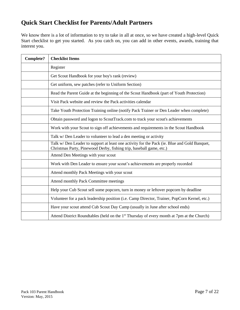## **Quick Start Checklist for Parents/Adult Partners**

We know there is a lot of information to try to take in all at once, so we have created a high-level Quick Start checklist to get you started. As you catch on, you can add in other events, awards, training that interest you.

| <b>Complete?</b> | <b>Checklist Items</b>                                                                                                                                             |
|------------------|--------------------------------------------------------------------------------------------------------------------------------------------------------------------|
|                  | Register                                                                                                                                                           |
|                  | Get Scout Handbook for your boy's rank (review)                                                                                                                    |
|                  | Get uniform, sew patches (refer to Uniform Section)                                                                                                                |
|                  | Read the Parent Guide at the beginning of the Scout Handbook (part of Youth Protection)                                                                            |
|                  | Visit Pack website and review the Pack activities calendar                                                                                                         |
|                  | Take Youth Protection Training online (notify Pack Trainer or Den Leader when complete)                                                                            |
|                  | Obtain password and logon to ScoutTrack.com to track your scout's achievements                                                                                     |
|                  | Work with your Scout to sign off achievements and requirements in the Scout Handbook                                                                               |
|                  | Talk w/Den Leader to volunteer to lead a den meeting or activity                                                                                                   |
|                  | Talk w/Den Leader to support at least one activity for the Pack (ie. Blue and Gold Banquet,<br>Christmas Party, Pinewood Derby, fishing trip, baseball game, etc.) |
|                  | Attend Den Meetings with your scout                                                                                                                                |
|                  | Work with Den Leader to ensure your scout's achievements are properly recorded                                                                                     |
|                  | Attend monthly Pack Meetings with your scout                                                                                                                       |
|                  | Attend monthly Pack Committee meetings                                                                                                                             |
|                  | Help your Cub Scout sell some popcorn, turn in money or leftover popcorn by deadline                                                                               |
|                  | Volunteer for a pack leadership position (i.e. Camp Director, Trainer, PopCorn Kernel, etc.)                                                                       |
|                  | Have your scout attend Cub Scout Day Camp (usually in June after school ends)                                                                                      |
|                  | Attend District Roundtables (held on the 1 <sup>st</sup> Thursday of every month at 7pm at the Church)                                                             |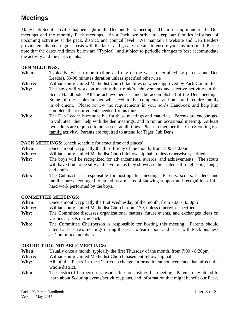## **Meetings**

Many Cub Scout activities happen right in the Den and Pack meetings. The most important are the Den meetings and the monthly Pack meetings. As a Pack, we strive to keep our families informed of upcoming activities at the pack, district, and council level. We maintain a website and Den Leaders provide emails on a regular basis with the latest and greatest details to ensure you stay informed. Please note that the dates and times below are "Typical" and subject to periodic changes to best accommodate the activity and the participants.

#### **DEN MEETINGS:**

- **When:** Typically twice a month (time and day of the week determined by parents and Den Leader), 60-90 minutes duration unless specified otherwise
- **Where:** Williamsburg United Methodist Church facilities or where approved by Pack Committee.
- **Why:** The boys will work on meeting their rank's achievements and elective activities in the Scout Handbook. All the achievements cannot be accomplished at the Den meetings. Some of the achievements will need to be completed at home and require family involvement. Please review the requirements in your son's Handbook and help him complete the requirements needed for his rank.
- **Who:** The Den Leader is responsible for these meetings and materials. Parents are encouraged to volunteer their help with the den meetings, and to run an occasional meeting. At least two adults are required to be present at all times. Please remember that Cub Scouting is a family activity. Parents are required to attend for Tiger Cub Dens.

**PACK MEETINGS:** (check schedule for exact time and places)

- **When:** Once a month; typically the third Friday of the month, from 7:00 8:00pm
- **Where:** Williamsburg United Methodist Church fellowship hall, unless otherwise specified
- Why: The boys will be recognized for advancements, awards, and achievements. The scouts will have time to be silly and have fun as they showcase their talents through skits, songs, and crafts.
- **Who:** The Cubmaster is responsible for hosting this meeting. Parents, scouts, leaders, and families are encouraged to attend as a means of showing support and recognition of the hard work performed by the boys.

#### **COMMITTEE MEETINGS:**

- **When:** Once a month; typically the first Wednesday of the month, from 7:00 8:30pm
- **Where:** Williamsburg United Methodist Church room 179, unless otherwise specified.
- **Why:** The Committee discusses organizational matters, future events, and exchanges ideas on various aspects of the Pack.
- Who: The Committee Chairperson is responsible for hosting this meeting. Parents should attend at least two meetings during the year to learn about and assist with Pack business as Committee members.

#### **DISTRICT ROUNDTABLE MEETINGS:**

- **When:** Usually once a month; typically the first Thursday of the month, from 7:00 8:30pm
- **Where:** Williamsburg United Methodist Church basement fellowship hall
- **Why:** All of the Packs in the District exchange information/announcements that affect the whole district.
- **Who:** The District Chairperson is responsible for hosting this meeting. Parents may attend to learn about Scouting events/activities, plans, and information that might benefit our Pack.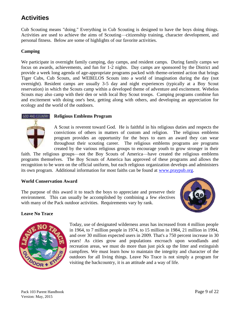## **Activities**

Cub Scouting means "doing." Everything in Cub Scouting is designed to have the boys doing things. Activities are used to achieve the aims of Scouting—citizenship training, character development, and personal fitness. Below are some of highlights of our favorite activities.

#### **Camping**

We participate in overnight family camping, day camps, and resident camps. During family camps we focus on awards, achievements, and fun for 1-2 nights. Day camps are sponsored by the District and provide a week long agenda of age-appropriate programs packed with theme-oriented action that brings Tiger Cubs, Cub Scouts, and WEBELOS Scouts into a world of imagination during the day (not overnight). Resident camps are usually 3-5 day and night experiences (typically at a Boy Scout reservation) in which the Scouts camp within a developed theme of adventure and excitement. Webelos Scouts may also camp with their den or with local Boy Scout troops. Camping programs combine fun and excitement with doing one's best, getting along with others, and developing an appreciation for ecology and the world of the outdoors.

#### **GOD AND COUNTRY Religious Emblems Program**



A Scout is reverent toward God. He is faithful in his religious duties and respects the convictions of others in matters of custom and religion. The religious emblems program provides an opportunity for the boys to earn an award they can wear throughout their scouting career. The religious emblems programs are programs created by the various religious groups to encourage youth to grow stronger in their

faith. The religious groups—not the Boy Scouts of America—have created the religious emblems programs themselves. The Boy Scouts of America has approved of these programs and allows the recognition to be worn on the official uniform, but each religious organization develops and administers its own program. Additional information for most faiths can be found at [www.praypub.org.](http://www.praypub.org/)

#### **World Conservation Award**

The purpose of this award it to teach the boys to appreciate and preserve their environment. This can usually be accomplished by combining a few electives with many of the Pack outdoor activities. Requirements vary by rank.



#### **Leave No Trace**



Today, use of designated wilderness areas has increased from 4 million people in 1964, to 7 million people in 1974, to 15 million in 1984, 21 million in 1994, and over 30 million expected users in 2009. That's a 750 percent increase in 30 years! As cities grow and populations encroach upon woodlands and recreation areas, we must do more than just pick up the litter and extinguish campfires. We must learn how to maintain the integrity and character of the outdoors for all living things. Leave No Trace is not simply a program for visiting the backcountry, it is an attitude and a way of life.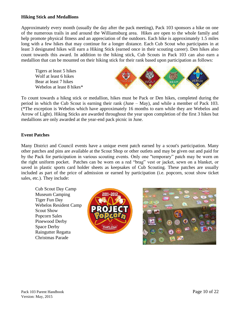#### **Hiking Stick and Medallions**

Approximately every month (usually the day after the pack meeting), Pack 103 sponsors a hike on one of the numerous trails in and around the Williamsburg area. Hikes are open to the whole family and help promote physical fitness and an appreciation of the outdoors. Each hike is approximately 1.5 miles long with a few hikes that may continue for a longer distance. Each Cub Scout who participates in at least 3 designated hikes will earn a Hiking Stick (earned once in their scouting career). Den hikes also count towards this award. In addition to the hiking stick, Cub Scouts in Pack 103 can also earn a medallion that can be mounted on their hiking stick for their rank based upon participation as follows:

Tigers at least 5 hikes Wolf at least 6 hikes Bear at least 7 hikes Webelos at least 8 hikes\*



To count towards a hikng stick or medallion, hikes must be Pack or Den hikes, completed during the period in which the Cub Scout is earning their rank (June – May), and while a member of Pack 103. (\*The exception is Webelos which have approximately 16 months to earn while they are Webelos and Arrow of Light). Hiking Sticks are awarded throughout the year upon completion of the first 3 hikes but medallions are only awarded at the year-end pack picnic in June.

#### **Event Patches**

Many District and Council events have a unique event patch earned by a scout's participation. Many other patches and pins are available at the Scout Shop or other outlets and may be given out and paid for by the Pack for participation in various scouting events. Only one "temporary" patch may be worn on the right uniform pocket. Patches can be worn on a red "brag" vest or jacket, sewn on a blanket, or saved in plastic sports card holder sheets as keepsakes of Cub Scouting. These patches are usually included as part of the price of admission or earned by participation (i.e. popcorn, scout show ticket sales, etc.). They include:

Cub Scout Day Camp Museum Camping Tiger Fun Day Webelos Resident Camp Scout Show Popcorn Sales Pinewood Derby Space Derby Raingutter Regatta Christmas Parade



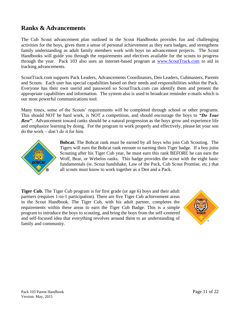## **Ranks & Advancements**

The Cub Scout advancement plan outlined in the Scout Handbooks provides fun and challenging activities for the boys, gives them a sense of personal achievement as they earn badges, and strengthens family understanding as adult family members work with boys on advancement projects. The Scout Handbooks will guide you through the requirements and electives available for the scouts to progress through the year. Pack 103 also uses an internet-based program at [www.ScoutTrack.com](http://www.scouttrack.com/) to aid in tracking advancements.

ScoutTrack.com supports Pack Leaders, Advancements Coordinators, Den Leaders, Cubmasters, Parents and Scouts. Each user has special capabilities based on their needs and responsibilities within the Pack. Everyone has their own userid and password so ScoutTrack.com can identify them and present the appropriate capabilities and information. The system also is used to broadcast reminder e-mails which is our most powerful communications tool.

Many times, some of the Scouts' requirements will be completed through school or other programs. This should NOT be hard work, is NOT a competition, and should encourage the boys to *"Do Your Best"*. Advancement toward ranks should be a natural progression as the boys grow and experience life and emphasize learning by doing. For the program to work properly and effectively, please let your son do the work – don't do it for him.



**Bobcat.** The Bobcat rank must be earned by all boys who join Cub Scouting. The Tigers will earn the Bobcat rank enroute to earning their Tiger badge. If a boy joins Scouting after his Tiger Cub year, he must earn this rank BEFORE he can earn the Wolf, Bear, or Webelos ranks. This badge provides the scout with the eight basic fundamentals (ie. Scout handshake, Law of the Pack, Cub Scout Promise, etc.) that all scouts must know to work together as a Den and a Pack.

**Tiger Cub.** The Tiger Cub program is for first grade (or age 6) boys and their adult partners (requires 1-to-1 participation). There are five Tiger Cub achievement areas in the Scout Handbook. The Tiger Cub, with his adult partner, completes the requirements within these areas to earn the Tiger Cub Badge. This is a simple program to introduce the boys to scouting, and bring the boys from the self-centered and self-focused idea that everything revolves around them to an understanding of family and community.

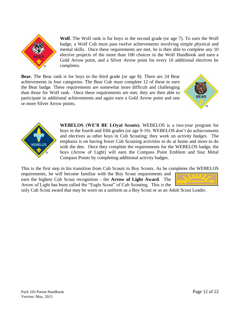

**Wolf.** The Wolf rank is for boys in the second grade (or age 7). To earn the Wolf badge, a Wolf Cub must pass twelve achievements involving simple physical and mental skills. Once these requirements are met, he is then able to complete any 10 elective projects of the more than 100 choices in the Wolf Handbook and earn a Gold Arrow point, and a Silver Arrow point for every 10 additional electives he completes.

**Bear.** The Bear rank is for boys in the third grade (or age 8). There are 24 Bear achievements in four categories. The Bear Cub must complete 12 of these to earn the Bear badge. These requirements are somewhat more difficult and challenging than those for Wolf rank. Once these requirements are met, they are then able to participate in additional achievements and again earn a Gold Arrow point and one or more Silver Arrow points.





**WEBELOS (WE'll BE LOyal Scouts).** WEBELOS is a two-year program for boys in the fourth and fifth grades (or age 9-10). WEBELOS don't do achievements and electives as other boys in Cub Scouting; they work on *activity badges*. The emphasis is on having fewer Cub Scouting activities to do at home and more to do with the den. Once they complete the requirements for the WEBELOS badge, the boys (Arrow of Light) will earn the Compass Point Emblem and four Metal Compass Points by completing additional activity badges.

This is the first step in his transition from Cub Scouts to Boy Scouts. As he completes the WEBELOS

requirements, he will become familiar with the Boy Scout requirements and earn the highest Cub Scout recognition - the **Arrow of Light Award**. The Arrow of Light has been called the "Eagle Scout" of Cub Scouting. This is the



only Cub Scout award that may be worn on a uniform as a Boy Scout or as an Adult Scout Leader.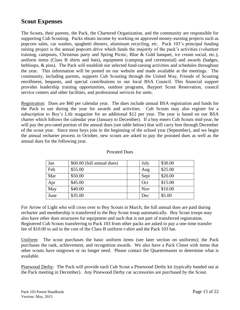## **Scout Expenses**

The Scouts, their parents, the Pack, the Chartered Organization, and the community are responsible for supporting Cub Scouting. Packs obtain income by working on approved money-earning projects such as popcorn sales, car washes, spaghetti dinners, aluminum recycling, etc. Pack 103's principal funding raising project is the annual popcorn drive which funds the majority of the pack's activities (volunteer training, campouts, Christmas party and Spring Picnic, Blue & Gold banquet, ice cream social, etc.), uniform items (Class B shirts and hats), equipment (camping and ceremonial) and awards (badges, beltloops, & pins). The Pack will establish our selected fund-raising activities and schedules throughout the year. This information will be posted on our website and made available at the meetings. The community, including parents, supports Cub Scouting through the United Way, Friends of Scouting enrollment, bequests, and special contributions to our local BSA Council. This financial support provides leadership training opportunities, outdoor programs, Bayport Scout Reservation, council service centers and other facilities, and professional services for units.

Registration: Dues are \$60 per calendar year. The dues include annual BSA registration and funds for the Pack to use during the year for awards and activities. Cub Scouts may also register for a subscription to Boy's Life magazine for an additional \$12 per year. The year is based on our BSA charter which follows the calendar year (January to December). If a boy enters Cub Scouts mid-year, he will pay the pro-rated portion of the annual dues (see table below) that will carry him through December of the scout year. Since most boys join in the beginning of the school year (September), and we begin the annual recharter process in October, new scouts are asked to pay the prorated dues as well as the annual dues for the following year.

| Jan  | \$60.00 (full annual dues) | July       | \$30.00 |
|------|----------------------------|------------|---------|
| Feb  | \$55.00                    | Aug        | \$25.00 |
| Mar  | \$50.00                    | Sept       | \$20.00 |
| Apr  | \$45.00                    | Oct        | \$15.00 |
| May  | \$40.00                    | <b>Nov</b> | \$10.00 |
| June | \$35.00                    | Dec        | \$5.00  |

#### Prorated Dues

For Arrow of Light who will cross over to Boy Scouts in March, the full annual dues are paid during recharter and membership is transferred to the Boy Scout troop automatically. Boy Scout troops may also have other dues structures for equipment and such that is not part of transferred registration. Registered Cub Scouts transferring to Pack 103 from other packs are asked to pay a one-time transfer fee of \$10.00 to aid in the cost of the Class B uniform t-shirt and the Pack 103 hat.

Uniform: The scout purchases the basic uniform items (see later section on uniforms); the Pack purchases the rank, achievement, and recognition awards. We also have a Pack Closet with items that other scouts have outgrown or no longer need. Please contact the Quartermaster to determine what is available.

Pinewood Derby: The Pack will provide each Cub Scout a Pinewood Derby kit (typically handed out at the Pack meeting in December). Any Pinewood Derby car accessories are purchased by the Scout.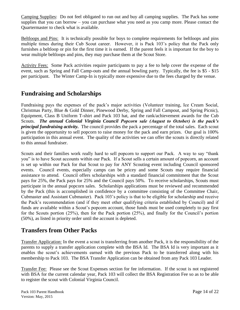Camping Supplies: Do not feel obligated to run out and buy all camping supplies. The Pack has some supplies that you can borrow – you can purchase what you need as you camp more. Please contact the Quartermaster to check what is available.

Beltloops and Pins: It is technically possible for boys to complete requirements for beltloops and pins multiple times during their Cub Scout career. However, it is Pack 103's policy that the Pack only furnishes a beltloop or pin for the first time it is earned. If the parent feels it is important for the boy to wear multiple beltloops and pins, they may purchase them at the Scout Store.

Activity Fees: Some Pack activities require participants to pay a fee to help cover the expense of the event, such as Spring and Fall Camp-outs and the annual bowling party. Typically, the fee is \$5 - \$15 per participant. The Winter Camp-In is typically more expensive due to the fees charged by the venue.

## **Fundraising and Scholarships**

Fundraising pays the expenses of the pack's major activities (Volunteer training, Ice Cream Social, Christmas Party, Blue & Gold Dinner, Pinewood Derby, Spring and Fall Campout, and Spring Picnic), Equipment, Class B Uniform T-shirt and Pack 103 hat, and the rank/achievement awards for the Cub Scouts. *The annual Colonial Virginia Council Popcorn sale (August to October) is the pack's principal fundraising activity.* The council provides the pack a percentage of the total sales. Each scout is given the opportunity to sell popcorn to raise money for the pack and earn prizes. Our goal is 100% participation in this annual event. The quality of the activities we can offer the scouts is directly related to this annual fundraiser.

Scouts and their families work really hard to sell popcorn to support our Pack. A way to say "thank you" is to have Scout accounts within our Pack. If a Scout sells a certain amount of popcorn, an account is set up within our Pack for that Scout to pay for ANY Scouting event including Council sponsored events. Council events, especially camps can be pricey and some Scouts may require financial assistance to attend. Council offers scholarships with a standard financial commitment that the Scout pays for 25%, the Pack pays for 25% and the Council pays 50%. To receive scholarships, Scouts must participate in the annual popcorn sales. Scholarships applications must be reviewed and recommended by the Pack (this is accomplished in confidence by a committee consisting of the Committee Chair, Cubmaster and Assistant Cubmaster). Pack 103's policy is that to be eligible for scholarship and receive the Pack's recommendation (and if they meet other qualifying criteria established by Council) and if funds are available within a Scout's popcorn account, those funds must be used completely to pay first for the Scouts portion (25%), then for the Pack portion (25%), and finally for the Council's portion (50%), as listed in priority order until the account is depleted.

## **Transfers from Other Packs**

Transfer Application: In the event a scout is transferring from another Pack, it is the responsibility of the parents to supply a transfer application complete with the BSA Id. The BSA Id is very important as it enables the scout's achievements earned with the previous Pack to be transferred along with his membership to Pack 103. The BSA Transfer Application can be obtained from any Pack 103 Leader.

Transfer Fee: Please see the Scout Expenses section for fee information. If the scout is not registered with BSA for the current calendar year, Pack 103 will collect the BSA Registration Fee so as to be able to register the scout with Colonial Virginia Council.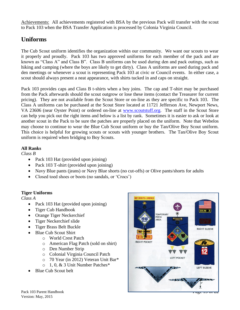Achievements: All achievements registered with BSA by the previous Pack will transfer with the scout to Pack 103 when the BSA Transfer Application is processed by Colonia Virginia Council.

## **Uniforms**

The Cub Scout uniform identifies the organization within our community. We want our scouts to wear it properly and proudly. Pack 103 has two approved uniforms for each member of the pack and are known as "Class A" and Class B". Class B uniforms can be used during den and pack outings, such as hiking and camping (where the boys are likely to get dirty). Class A uniforms are used during pack and den meetings or whenever a scout is representing Pack 103 at civic or Council events. In either case, a scout should always present a neat appearance, with shirts tucked in and caps on straight.

Pack 103 provides caps and Class B t-shirts when a boy joins. The cap and T-shirt may be purchased from the Pack afterwards should the scout outgrow or lose these items (contact the Treasurer for current pricing). They are not available from the Scout Store or on-line as they are specific to Pack 103. The Class A uniforms can be purchased at the Scout Store located at 11721 Jefferson Ave, Newport News, VA 23606 (near Oyster Point) or ordered on-line at [www.scoutstuff.org.](http://www.scoutstuff.org/) The staff in the Scout Store can help you pick out the right items and below is a list by rank. Sometimes it is easier to ask or look at another scout in the Pack to be sure the patches are properly placed on the uniform. Note that Webelos may choose to continue to wear the Blue Cub Scout uniform or buy the Tan/Olive Boy Scout uniform. This choice is helpful for growing scouts or scouts with younger brothers. The Tan/Olive Boy Scout uniform is required when bridging to Boy Scouts.

#### **All Ranks**

*Class B*

- Pack 103 Hat (provided upon joining)
- Pack 103 T-shirt (provided upon joining)
- Navy Blue pants (jeans) or Navy Blue shorts (no cut-offs) or Olive pants/shorts for adults
- Closed toed shoes or boots (no sandals, or 'Crocs')

#### **Tiger Uniforms**

*Class A*

- Pack 103 Hat (provided upon joining)
- Tiger Cub Handbook
- Orange Tiger Neckerchief
- Tiger Neckerchief slide
- Tiger Brass Belt Buckle
- Blue Cub Scout Shirt
	- o World Crest Patch
		- o American Flag Patch (sold on shirt)
		- o Den Number Strip
		- o Colonial Virginia Council Patch
		- o 70 Year (in 2012) Veteran Unit Bar\*
	- o 1, 0, & 3 Unit Number Patches\*
- Blue Cub Scout belt



Version: May, 2015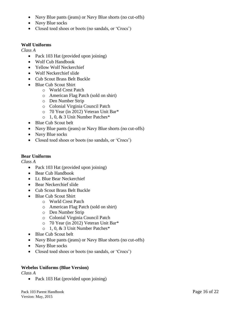- Navy Blue pants (jeans) or Navy Blue shorts (no cut-offs)
- Navy Blue socks
- Closed toed shoes or boots (no sandals, or 'Crocs')

#### **Wolf Uniforms**

*Class A*

- Pack 103 Hat (provided upon joining)
- Wolf Cub Handbook
- Yellow Wolf Neckerchief
- Wolf Neckerchief slide
- Cub Scout Brass Belt Buckle
- Blue Cub Scout Shirt
	- o World Crest Patch
	- o American Flag Patch (sold on shirt)
	- o Den Number Strip
	- o Colonial Virginia Council Patch
	- o 70 Year (in 2012) Veteran Unit Bar\*
	- o 1, 0, & 3 Unit Number Patches\*
- Blue Cub Scout belt
- Navy Blue pants (jeans) or Navy Blue shorts (no cut-offs)
- Navy Blue socks
- Closed toed shoes or boots (no sandals, or 'Crocs')

#### **Bear Uniforms**

*Class A*

- Pack 103 Hat (provided upon joining)
- Bear Cub Handbook
- Lt. Blue Bear Neckerchief
- Bear Neckerchief slide
- Cub Scout Brass Belt Buckle
- Blue Cub Scout Shirt
	- o World Crest Patch
	- o American Flag Patch (sold on shirt)
	- o Den Number Strip
	- o Colonial Virginia Council Patch
	- o 70 Year (in 2012) Veteran Unit Bar\*
	- o 1, 0, & 3 Unit Number Patches\*
- Blue Cub Scout belt
- Navy Blue pants (jeans) or Navy Blue shorts (no cut-offs)
- Navy Blue socks
- Closed toed shoes or boots (no sandals, or 'Crocs')

#### **Webelos Uniforms (Blue Version)**

*Class A*

• Pack 103 Hat (provided upon joining)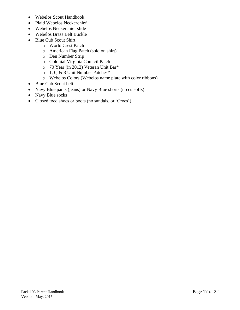- Webelos Scout Handbook
- Plaid Webelos Neckerchief
- Webelos Neckerchief slide
- Webelos Brass Belt Buckle
- Blue Cub Scout Shirt
	- o World Crest Patch
	- o American Flag Patch (sold on shirt)
	- o Den Number Strip
	- o Colonial Virginia Council Patch
	- o 70 Year (in 2012) Veteran Unit Bar\*
	- o 1, 0, & 3 Unit Number Patches\*
	- o Webelos Colors (Webelos name plate with color ribbons)
- Blue Cub Scout belt
- Navy Blue pants (jeans) or Navy Blue shorts (no cut-offs)
- Navy Blue socks
- Closed toed shoes or boots (no sandals, or 'Crocs')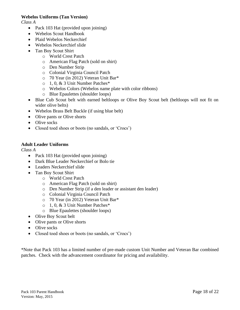#### **Webelos Uniforms (Tan Version)**

*Class A*

- Pack 103 Hat (provided upon joining)
- Webelos Scout Handbook
- Plaid Webelos Neckerchief
- Webelos Neckerchief slide
- Tan Boy Scout Shirt
	- o World Crest Patch
	- o American Flag Patch (sold on shirt)
	- o Den Number Strip
	- o Colonial Virginia Council Patch
	- o 70 Year (in 2012) Veteran Unit Bar\*
	- o 1, 0, & 3 Unit Number Patches\*
	- o Webelos Colors (Webelos name plate with color ribbons)
	- o Blue Epaulettes (shoulder loops)
- Blue Cub Scout belt with earned beltloops or Olive Boy Scout belt (beltloops will not fit on wider olive belts)
- Webelos Brass Belt Buckle (if using blue belt)
- Olive pants or Olive shorts
- Olive socks
- Closed toed shoes or boots (no sandals, or 'Crocs')

#### **Adult Leader Uniforms**

*Class A*

- Pack 103 Hat (provided upon joining)
- Dark Blue Leader Neckerchief or Bolo tie
- Leaders Neckerchief slide
- Tan Boy Scout Shirt
	- o World Crest Patch
	- o American Flag Patch (sold on shirt)
	- o Den Number Strip (if a den leader or assistant den leader)
	- o Colonial Virginia Council Patch
	- o 70 Year (in 2012) Veteran Unit Bar\*
	- o 1, 0, & 3 Unit Number Patches\*
	- o Blue Epaulettes (shoulder loops)
- Olive Boy Scout belt
- Olive pants or Olive shorts
- Olive socks
- Closed toed shoes or boots (no sandals, or 'Crocs')

\*Note that Pack 103 has a limited number of pre-made custom Unit Number and Veteran Bar combined patches. Check with the advancement coordinator for pricing and availability.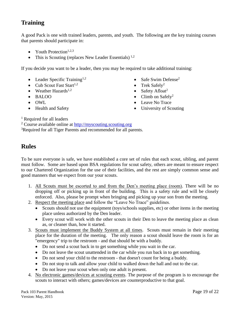## **Training**

A good Pack is one with trained leaders, parents, and youth. The following are the key training courses that parents should participate in:

- Youth Protection<sup>1,2,3</sup>
- This is Scouting (replaces New Leader Essentials)<sup>1,2</sup>

If you decide you want to be a leader, then you may be required to take additional training:

- Leader Specific Training<sup>1,2</sup>
- $\bullet$  Cub Scout Fast Start<sup>1,2</sup>
- Weather Hazards<sup>1,2</sup>
- BALOO
- $\bullet$  OWL
- Health and Safety
- Safe Swim Defense<sup>2</sup>
- Trek Safely<sup>2</sup>
- Safety Afloat<sup>2</sup>
- $\bullet$  Climb on Safely<sup>2</sup>
- Leave No Trace
- University of Scouting

<sup>1</sup> Required for all leaders

<sup>2</sup> Course available online at  $\frac{http://myscoutingscouting.org}{http://myscoutingscouting.org}$ <sup>3</sup>Required for all Tiger Parents and recommended for all parents.

## **Rules**

To be sure everyone is safe, we have established a core set of rules that each scout, sibling, and parent must follow. Some are based upon BSA regulations for scout safety, others are meant to ensure respect to our Chartered Organization for the use of their facilities, and the rest are simply common sense and good manners that we expect from our your scouts.

- 1. All Scouts must be escorted to and from the Den's meeting place (room). There will be no dropping off or picking up in front of the building. This is a safety rule and will be closely enforced. Also, please be prompt when bringing and picking up your son from the meeting.
- 2. Respect the meeting place and follow the "Leave No Trace" guidelines.
	- Scouts should not use the equipment (toys/schools supplies, etc) or other items in the meeting place unless authorized by the Den leader.
	- Every scout will work with the other scouts in their Den to leave the meeting place as clean as, or cleaner than, how it started.
- 3. Scouts must implement the Buddy System at all times. Scouts must remain in their meeting place for the duration of the meeting. The only reason a scout should leave the room is for an "emergency" trip to the restroom - and that should be with a buddy.
	- Do not send a scout back in to get something while you wait in the car.
	- Do not leave the scout unattended in the car while you run back in to get something.
	- Do not send your child to the restroom that doesn't count for being a buddy.
	- Do not stop to talk and allow your child to walked down the hall and out to the car.
	- Do not leave your scout when only one adult is present.
- 4. No electronic games/devices at scouting events. The purpose of the program is to encourage the scouts to interact with others; games/devices are counterproductive to that goal.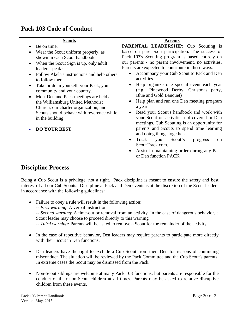## **Pack 103 Code of Conduct**

| <b>Scouts</b>                                                                                                                                                                                                                                                | <b>Parents</b>                                                                                                                                                                                                                                                                                                                                                                                                                               |
|--------------------------------------------------------------------------------------------------------------------------------------------------------------------------------------------------------------------------------------------------------------|----------------------------------------------------------------------------------------------------------------------------------------------------------------------------------------------------------------------------------------------------------------------------------------------------------------------------------------------------------------------------------------------------------------------------------------------|
| Be on time.<br>Wear the Scout uniform properly, as<br>shown in each Scout handbook.<br>When the Scout Sign is up, only adult<br>leaders speak ·<br>Follow Akela's instructions and help others<br>to follow them.<br>Take pride in yourself, your Pack, your | <b>PARENTAL LEADERSHIP:</b> Cub Scouting is<br>based on parent/son participation. The success of<br>Pack 103's Scouting program is based entirely on<br>our parents - no parent involvement, no activities.<br>Parents are expected to contribute in these ways:<br>Accompany your Cub Scout to Pack and Den<br>$\bullet$<br>activities<br>Help organize one special event each year<br>$\bullet$<br>(e.g., Pinewood Derby, Christmas party, |
| community and your country.<br>Most Den and Pack meetings are held at<br>the Williamsburg United Methodist<br>Church, our charter organization, and<br>Scouts should behave with reverence while<br>in the building $\cdot$<br><b>DO YOUR BEST</b>           | Blue and Gold Banquet)<br>Help plan and run one Den meeting program<br>$\bullet$<br>a year<br>Read your Scout's handbook and work with<br>٠<br>your Scout on activities not covered in Den<br>meetings. Cub Scouting is an opportunity for<br>parents and Scouts to spend time learning<br>and doing things together.                                                                                                                        |
|                                                                                                                                                                                                                                                              | Track<br>Scout's<br>you<br>$\bullet$<br>progress<br><sub>on</sub><br>ScoutTrack.com.<br>Assist in maintaining order during any Pack<br>$\bullet$<br>or Den function PACK                                                                                                                                                                                                                                                                     |

## **Discipline Process**

Being a Cub Scout is a privilege, not a right. Pack discipline is meant to ensure the safety and best interest of all our Cub Scouts. Discipline at Pack and Den events is at the discretion of the Scout leaders in accordance with the following guidelines:

- Failure to obey a rule will result in the following action:
	- -- *First warning*: A verbal instruction

-- *Second warning*: A time-out or removal from an activity. In the case of dangerous behavior, a Scout leader may choose to proceed directly to this warning

-- *Third warning:* Parents will be asked to remove a Scout for the remainder of the activity.

- In the case of repetitive behavior, Den leaders may require parents to participate more directly with their Scout in Den functions.
- Den leaders have the right to exclude a Cub Scout from their Den for reasons of continuing misconduct. The situation will be reviewed by the Pack Committee and the Cub Scout's parents. In extreme cases the Scout may be dismissed from the Pack.
- Non-Scout siblings are welcome at many Pack 103 functions, but parents are responsible for the conduct of their non-Scout children at all times. Parents may be asked to remove disruptive children from these events.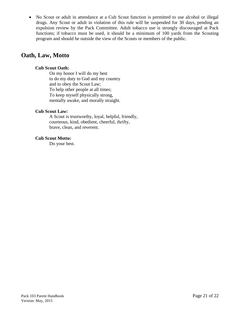No Scout or adult in attendance at a Cub Scout function is permitted to use alcohol or illegal drugs. Any Scout or adult in violation of this rule will be suspended for 30 days, pending an expulsion review by the Pack Committee. Adult tobacco use is strongly discouraged at Pack functions; if tobacco must be used, it should be a minimum of 100 yards from the Scouting program and should be outside the view of the Scouts or members of the public.

## **Oath, Law, Motto**

#### **Cub Scout Oath:**

On my honor I will do my best to do my duty to God and my country and to obey the Scout Law; To help other people at all times; To keep myself physically strong, mentally awake, and morally straight.

#### **Cub Scout Law:**

A Scout is trustworthy, loyal, helpful, friendly, courteous, kind, obedient, cheerful, thrifty, brave, clean, and reverent.

#### **Cub Scout Motto:**

Do your best.